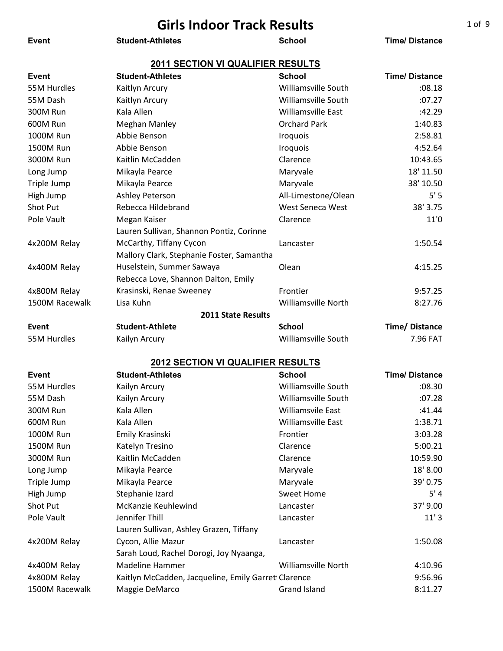| <b>Girls Indoor Track Results</b> |                                           |                            |                      |
|-----------------------------------|-------------------------------------------|----------------------------|----------------------|
| <b>Event</b>                      | <b>Student-Athletes</b>                   | <b>School</b>              | <b>Time/Distance</b> |
|                                   |                                           |                            |                      |
|                                   | <b>2011 SECTION VI QUALIFIER RESULTS</b>  |                            |                      |
| <b>Event</b>                      | <b>Student-Athletes</b>                   | <b>School</b>              | <b>Time/Distance</b> |
| 55M Hurdles                       | Kaitlyn Arcury                            | Williamsville South        | :08.18               |
| 55M Dash                          | Kaitlyn Arcury                            | Williamsville South        | :07.27               |
| 300M Run                          | Kala Allen                                | Williamsville East         | :42.29               |
| 600M Run                          | <b>Meghan Manley</b>                      | <b>Orchard Park</b>        | 1:40.83              |
| 1000M Run                         | Abbie Benson                              | <b>Iroquois</b>            | 2:58.81              |
| 1500M Run                         | Abbie Benson                              | <b>Iroquois</b>            | 4:52.64              |
| 3000M Run                         | Kaitlin McCadden                          | Clarence                   | 10:43.65             |
| Long Jump                         | Mikayla Pearce                            | Maryvale                   | 18' 11.50            |
| Triple Jump                       | Mikayla Pearce                            | Maryvale                   | 38' 10.50            |
| High Jump                         | Ashley Peterson                           | All-Limestone/Olean        | 5'5                  |
| Shot Put                          | Rebecca Hildebrand                        | West Seneca West           | 38' 3.75             |
| Pole Vault                        | Megan Kaiser                              | Clarence                   | 11'0                 |
|                                   | Lauren Sullivan, Shannon Pontiz, Corinne  |                            |                      |
| 4x200M Relay                      | McCarthy, Tiffany Cycon                   | Lancaster                  | 1:50.54              |
|                                   | Mallory Clark, Stephanie Foster, Samantha |                            |                      |
| 4x400M Relay                      | Huselstein, Summer Sawaya                 | Olean                      | 4:15.25              |
|                                   | Rebecca Love, Shannon Dalton, Emily       |                            |                      |
| 4x800M Relay                      | Krasinski, Renae Sweeney                  | Frontier                   | 9:57.25              |
| 1500M Racewalk                    | Lisa Kuhn                                 | <b>Williamsville North</b> | 8:27.76              |
|                                   | <b>2011 State Results</b>                 |                            |                      |
| Event                             | <b>Student-Athlete</b>                    | <b>School</b>              | Time/Distance        |
| 55M Hurdles                       | Kailyn Arcury                             | Williamsville South        | 7.96 FAT             |

| Event          | <b>Student-Athletes</b>                             | <b>School</b>             | <b>Time/Distance</b> |
|----------------|-----------------------------------------------------|---------------------------|----------------------|
| 55M Hurdles    | Kailyn Arcury                                       | Williamsville South       | :08.30               |
| 55M Dash       | Kailyn Arcury                                       | Williamsville South       | :07.28               |
| 300M Run       | Kala Allen                                          | Williamsvile East         | :41.44               |
| 600M Run       | Kala Allen                                          | <b>Williamsville East</b> | 1:38.71              |
| 1000M Run      | Emily Krasinski                                     | Frontier                  | 3:03.28              |
| 1500M Run      | Katelyn Tresino                                     | Clarence                  | 5:00.21              |
| 3000M Run      | Kaitlin McCadden                                    | Clarence                  | 10:59.90             |
| Long Jump      | Mikayla Pearce                                      | Maryvale                  | 18' 8.00             |
| Triple Jump    | Mikayla Pearce                                      | Maryvale                  | 39' 0.75             |
| High Jump      | Stephanie Izard                                     | <b>Sweet Home</b>         | 5'4                  |
| Shot Put       | McKanzie Keuhlewind                                 | Lancaster                 | 37' 9.00             |
| Pole Vault     | Jennifer Thill                                      | Lancaster                 | 11'3                 |
|                | Lauren Sullivan, Ashley Grazen, Tiffany             |                           |                      |
| 4x200M Relay   | Cycon, Allie Mazur                                  | Lancaster                 | 1:50.08              |
|                | Sarah Loud, Rachel Dorogi, Joy Nyaanga,             |                           |                      |
| 4x400M Relay   | Madeline Hammer                                     | Williamsville North       | 4:10.96              |
| 4x800M Relay   | Kaitlyn McCadden, Jacqueline, Emily Garret Clarence |                           | 9:56.96              |
| 1500M Racewalk | Maggie DeMarco                                      | <b>Grand Island</b>       | 8:11.27              |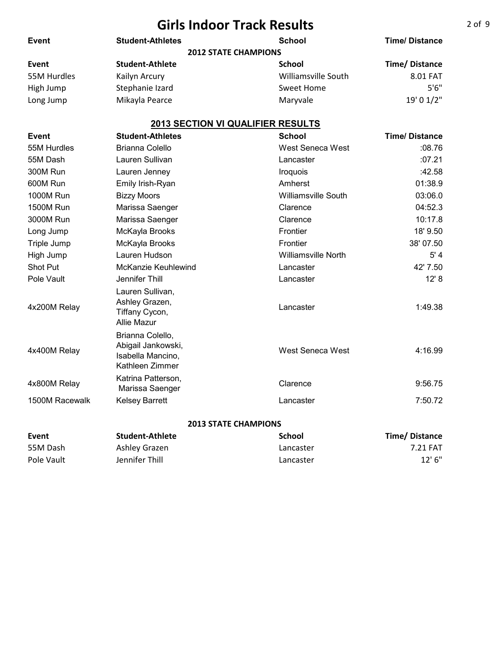| <b>Event</b>     | <b>Student-Athletes</b>                                                        | <b>School</b>                            | <b>Time/Distance</b> |
|------------------|--------------------------------------------------------------------------------|------------------------------------------|----------------------|
|                  |                                                                                | <b>2012 STATE CHAMPIONS</b>              |                      |
| Event            | <b>Student-Athlete</b>                                                         | <b>School</b>                            | Time/Distance        |
| 55M Hurdles      | Kailyn Arcury                                                                  | <b>Williamsville South</b>               | 8.01 FAT             |
| High Jump        | Stephanie Izard                                                                | <b>Sweet Home</b>                        | 5'6''                |
| Long Jump        | Mikayla Pearce                                                                 | Maryvale                                 | 19' 0 1/2"           |
|                  |                                                                                | <b>2013 SECTION VI QUALIFIER RESULTS</b> |                      |
| Event            | <b>Student-Athletes</b>                                                        | <b>School</b>                            | <b>Time/Distance</b> |
| 55M Hurdles      | <b>Brianna Colello</b>                                                         | West Seneca West                         | :08.76               |
| 55M Dash         | Lauren Sullivan                                                                | Lancaster                                | :07.21               |
| 300M Run         | Lauren Jenney                                                                  | Iroquois                                 | :42.58               |
| 600M Run         | Emily Irish-Ryan                                                               | Amherst                                  | 01:38.9              |
| <b>1000M Run</b> | <b>Bizzy Moors</b>                                                             | <b>Williamsville South</b>               | 03:06.0              |
| <b>1500M Run</b> | Marissa Saenger                                                                | Clarence                                 | 04:52.3              |
| 3000M Run        | Marissa Saenger                                                                | Clarence                                 | 10:17.8              |
| Long Jump        | McKayla Brooks                                                                 | Frontier                                 | 18' 9.50             |
| Triple Jump      | McKayla Brooks                                                                 | Frontier                                 | 38' 07.50            |
| High Jump        | Lauren Hudson                                                                  | <b>Williamsville North</b>               | 5'4                  |
| <b>Shot Put</b>  | McKanzie Keuhlewind                                                            | Lancaster                                | 42' 7.50             |
| Pole Vault       | Jennifer Thill                                                                 | Lancaster                                | 12' 8                |
| 4x200M Relay     | Lauren Sullivan,<br>Ashley Grazen,<br>Tiffany Cycon,<br><b>Allie Mazur</b>     | Lancaster                                | 1:49.38              |
| 4x400M Relay     | Brianna Colello,<br>Abigail Jankowski,<br>Isabella Mancino,<br>Kathleen Zimmer | West Seneca West                         | 4:16.99              |
| 4x800M Relay     | Katrina Patterson,<br>Marissa Saenger                                          | Clarence                                 | 9:56.75              |
| 1500M Racewalk   | <b>Kelsey Barrett</b>                                                          | Lancaster                                | 7:50.72              |
|                  |                                                                                |                                          |                      |

#### **2013 STATE CHAMPIONS**

| Event      | Student-Athlete | <b>School</b> | Time/Distance |
|------------|-----------------|---------------|---------------|
| 55M Dash   | Ashley Grazen   | Lancaster     | 7.21 FAT      |
| Pole Vault | Jennifer Thill  | Lancaster     | $12'$ 6"      |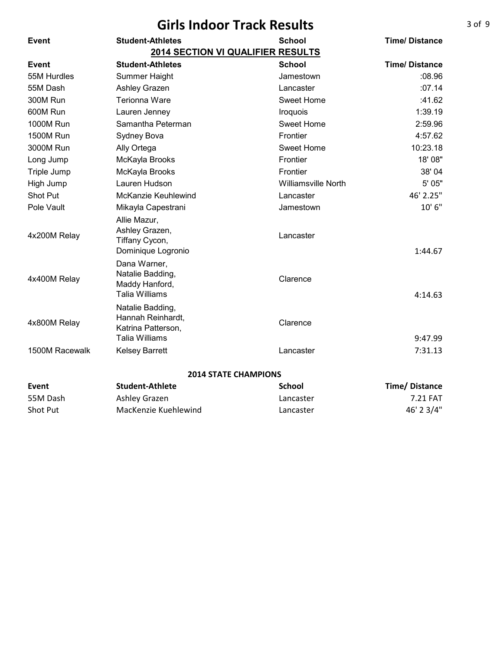|                  | <b>Girls Indoor Track Results</b>                                                    |                            |                      |
|------------------|--------------------------------------------------------------------------------------|----------------------------|----------------------|
| <b>Event</b>     | <b>Student-Athletes</b>                                                              | <b>School</b>              | <b>Time/Distance</b> |
|                  | <b>2014 SECTION VI QUALIFIER RESULTS</b>                                             |                            |                      |
| <b>Event</b>     | <b>Student-Athletes</b>                                                              | <b>School</b>              | <b>Time/Distance</b> |
| 55M Hurdles      | Summer Haight                                                                        | Jamestown                  | :08.96               |
| 55M Dash         | Ashley Grazen                                                                        | Lancaster                  | :07.14               |
| 300M Run         | Terionna Ware                                                                        | Sweet Home                 | :41.62               |
| 600M Run         | Lauren Jenney                                                                        | Iroquois                   | 1:39.19              |
| <b>1000M Run</b> | Samantha Peterman                                                                    | Sweet Home                 | 2:59.96              |
| <b>1500M Run</b> | Sydney Bova                                                                          | Frontier                   | 4:57.62              |
| 3000M Run        | Ally Ortega                                                                          | Sweet Home                 | 10:23.18             |
| Long Jump        | McKayla Brooks                                                                       | Frontier                   | 18' 08"              |
| Triple Jump      | McKayla Brooks                                                                       | Frontier                   | 38' 04               |
| High Jump        | Lauren Hudson                                                                        | <b>Williamsville North</b> | 5' 05"               |
| Shot Put         | <b>McKanzie Keuhlewind</b>                                                           | Lancaster                  | 46' 2.25"            |
| Pole Vault       | Mikayla Capestrani                                                                   | Jamestown                  | 10'6''               |
| 4x200M Relay     | Allie Mazur,<br>Ashley Grazen,<br>Tiffany Cycon,<br>Dominique Logronio               | Lancaster                  | 1:44.67              |
| 4x400M Relay     | Dana Warner,<br>Natalie Badding,<br>Maddy Hanford,<br><b>Talia Williams</b>          | Clarence                   | 4:14.63              |
| 4x800M Relay     | Natalie Badding,<br>Hannah Reinhardt,<br>Katrina Patterson,<br><b>Talia Williams</b> | Clarence                   | 9:47.99              |
| 1500M Racewalk   | <b>Kelsey Barrett</b>                                                                | Lancaster                  | 7:31.13              |
|                  | <b>2014 STATE CHAMPIONS</b>                                                          |                            |                      |
| Event            | <b>Student-Athlete</b>                                                               | <b>School</b>              | <b>Time/Distance</b> |
| 55M Dash         | Ashley Grazen                                                                        | Lancaster                  | 7.21 FAT             |
| Shot Put         | MacKenzie Kuehlewind                                                                 | Lancaster                  | 46' 2 3/4"           |

Shot Put **MacKenzie Kuehlewind Lancaster** 

### 3 of 9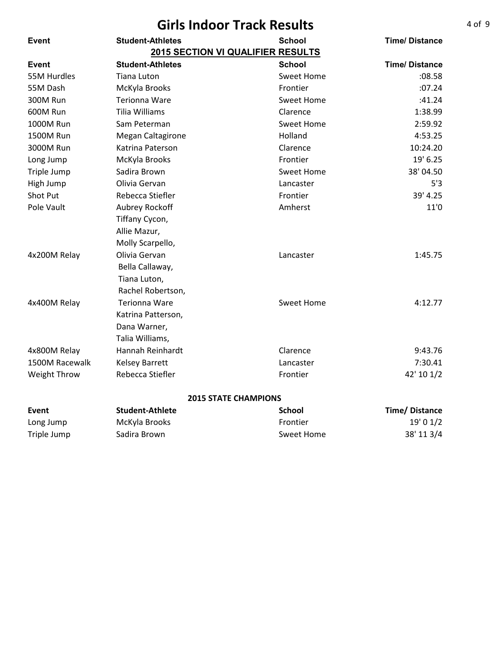| <b>Girls Indoor Track Results</b> |                          |                                          |                      |
|-----------------------------------|--------------------------|------------------------------------------|----------------------|
| Event                             | <b>Student-Athletes</b>  | <b>School</b>                            | <b>Time/Distance</b> |
|                                   |                          | <b>2015 SECTION VI QUALIFIER RESULTS</b> |                      |
| Event                             | <b>Student-Athletes</b>  | <b>School</b>                            | <b>Time/Distance</b> |
| 55M Hurdles                       | Tiana Luton              | <b>Sweet Home</b>                        | :08.58               |
| 55M Dash                          | McKyla Brooks            | Frontier                                 | :07.24               |
| 300M Run                          | Terionna Ware            | <b>Sweet Home</b>                        | :41.24               |
| 600M Run                          | <b>Tilia Williams</b>    | Clarence                                 | 1:38.99              |
| 1000M Run                         | Sam Peterman             | Sweet Home                               | 2:59.92              |
| 1500M Run                         | <b>Megan Caltagirone</b> | Holland                                  | 4:53.25              |
| 3000M Run                         | Katrina Paterson         | Clarence                                 | 10:24.20             |
| Long Jump                         | McKyla Brooks            | Frontier                                 | 19' 6.25             |
| Triple Jump                       | Sadira Brown             | <b>Sweet Home</b>                        | 38'04.50             |
| High Jump                         | Olivia Gervan            | Lancaster                                | 5'3                  |
| Shot Put                          | Rebecca Stiefler         | Frontier                                 | 39' 4.25             |
| Pole Vault                        | Aubrey Rockoff           | Amherst                                  | 11'0                 |
|                                   | Tiffany Cycon,           |                                          |                      |
|                                   | Allie Mazur,             |                                          |                      |
|                                   | Molly Scarpello,         |                                          |                      |
| 4x200M Relay                      | Olivia Gervan            | Lancaster                                | 1:45.75              |
|                                   | Bella Callaway,          |                                          |                      |
|                                   | Tiana Luton,             |                                          |                      |
|                                   | Rachel Robertson,        |                                          |                      |
| 4x400M Relay                      | Terionna Ware            | <b>Sweet Home</b>                        | 4:12.77              |
|                                   | Katrina Patterson,       |                                          |                      |
|                                   | Dana Warner,             |                                          |                      |
|                                   | Talia Williams,          |                                          |                      |
| 4x800M Relay                      | Hannah Reinhardt         | Clarence                                 | 9:43.76              |
| 1500M Racewalk                    | <b>Kelsey Barrett</b>    | Lancaster                                | 7:30.41              |
| Weight Throw                      | Rebecca Stiefler         | Frontier                                 | 42' 10 1/2           |
|                                   |                          | <b>2015 STATE CHAMPIONS</b>              |                      |
| Event                             | <b>Student-Athlete</b>   | <b>School</b>                            | <b>Time/Distance</b> |
| Long Jump                         | McKyla Brooks            | Frontier                                 | 19' 0 1/2            |
| Triple Jump                       | Sadira Brown             | Sweet Home                               | 38' 11 3/4           |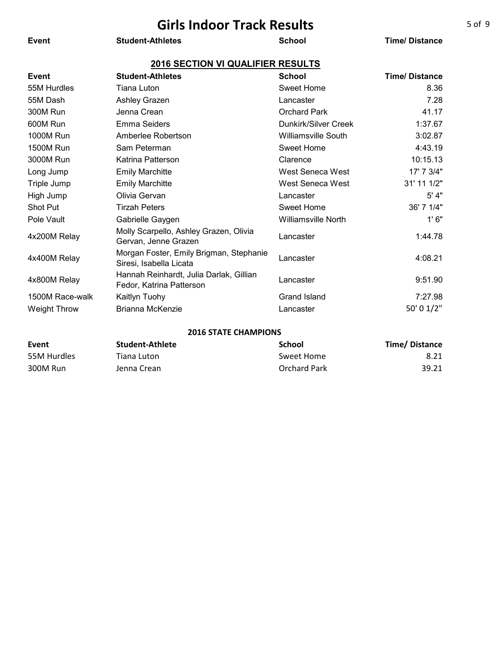| <b>Girls Indoor Track Results</b> |                                                                     |                            |                      |  |
|-----------------------------------|---------------------------------------------------------------------|----------------------------|----------------------|--|
| Event                             | <b>Student-Athletes</b>                                             | <b>School</b>              | <b>Time/Distance</b> |  |
|                                   | <b>2016 SECTION VI QUALIFIER RESULTS</b>                            |                            |                      |  |
| Event                             | <b>Student-Athletes</b>                                             | <b>School</b>              | <b>Time/Distance</b> |  |
| 55M Hurdles                       | Tiana Luton                                                         | Sweet Home                 | 8.36                 |  |
| 55M Dash                          | Ashley Grazen                                                       | Lancaster                  | 7.28                 |  |
| <b>300M Run</b>                   | Jenna Crean                                                         | <b>Orchard Park</b>        | 41.17                |  |
| 600M Run                          | Emma Seiders                                                        | Dunkirk/Silver Creek       | 1:37.67              |  |
| <b>1000M Run</b>                  | Amberlee Robertson                                                  | <b>Williamsville South</b> | 3:02.87              |  |
| <b>1500M Run</b>                  | Sam Peterman                                                        | <b>Sweet Home</b>          | 4:43.19              |  |
| 3000M Run                         | Katrina Patterson                                                   | Clarence                   | 10:15.13             |  |
| Long Jump                         | <b>Emily Marchitte</b>                                              | West Seneca West           | 17' 7 3/4"           |  |
| Triple Jump                       | <b>Emily Marchitte</b>                                              | West Seneca West           | 31' 11 1/2"          |  |
| High Jump                         | Olivia Gervan                                                       | Lancaster                  | 5' 4"                |  |
| Shot Put                          | <b>Tirzah Peters</b>                                                | <b>Sweet Home</b>          | 36' 7 1/4"           |  |
| Pole Vault                        | Gabrielle Gaygen                                                    | <b>Williamsville North</b> | 1'6''                |  |
| 4x200M Relay                      | Molly Scarpello, Ashley Grazen, Olivia<br>Gervan, Jenne Grazen      | Lancaster                  | 1:44.78              |  |
| 4x400M Relay                      | Morgan Foster, Emily Brigman, Stephanie<br>Siresi, Isabella Licata  | Lancaster                  | 4:08.21              |  |
| 4x800M Relay                      | Hannah Reinhardt, Julia Darlak, Gillian<br>Fedor, Katrina Patterson | Lancaster                  | 9:51.90              |  |
| 1500M Race-walk                   | Kaitlyn Tuohy                                                       | Grand Island               | 7:27.98              |  |
| <b>Weight Throw</b>               | <b>Brianna McKenzie</b>                                             | Lancaster                  | 50' 0 1/2"           |  |
|                                   |                                                                     |                            |                      |  |

#### **2016 STATE CHAMPIONS**

| Event       | Student-Athlete | School       | Time/Distance |
|-------------|-----------------|--------------|---------------|
| 55M Hurdles | Tiana Luton     | Sweet Home   | 8.21          |
| 300M Run    | Jenna Crean     | Orchard Park | 39.21         |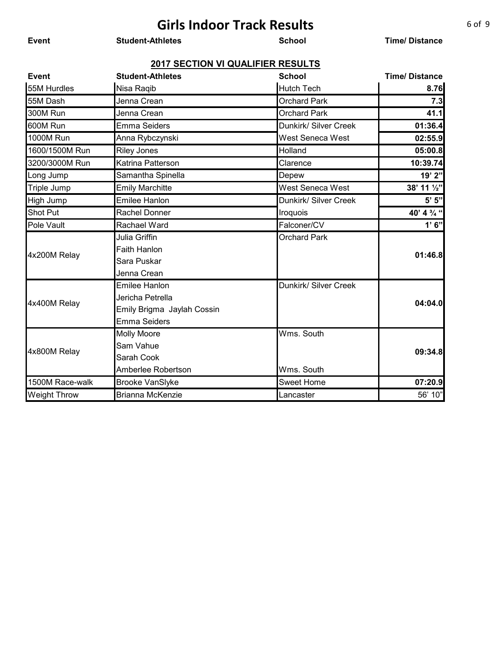**Event Student-Athletes School Time/ Distance**

| Event               | <b>Student-Athletes</b>    | <b>School</b>         | <b>Time/Distance</b> |
|---------------------|----------------------------|-----------------------|----------------------|
| 55M Hurdles         | Nisa Raqib                 | <b>Hutch Tech</b>     | 8.76                 |
| 55M Dash            | Jenna Crean                | <b>Orchard Park</b>   | 7.3                  |
| 300M Run            | Jenna Crean                | <b>Orchard Park</b>   | 41.1                 |
| 600M Run            | <b>Emma Seiders</b>        | Dunkirk/ Silver Creek | 01:36.4              |
| <b>1000M Run</b>    | Anna Rybczynski            | West Seneca West      | 02:55.9              |
| 1600/1500M Run      | <b>Riley Jones</b>         | Holland               | 05:00.8              |
| 3200/3000M Run      | Katrina Patterson          | Clarence              | 10:39.74             |
| Long Jump           | Samantha Spinella          | Depew                 | 19' 2"               |
| <b>Triple Jump</b>  | <b>Emily Marchitte</b>     | West Seneca West      | 38' 11 1/2"          |
| High Jump           | <b>Emilee Hanlon</b>       | Dunkirk/ Silver Creek | 5' 5''               |
| <b>Shot Put</b>     | Rachel Donner              | Iroquois              | 40' 4 % "            |
| <b>Pole Vault</b>   | Rachael Ward               | Falconer/CV           | 1'6''                |
|                     | Julia Griffin              | <b>Orchard Park</b>   |                      |
| 4x200M Relay        | <b>Faith Hanlon</b>        |                       | 01:46.8              |
|                     | Sara Puskar                |                       |                      |
|                     | Jenna Crean                |                       |                      |
|                     | <b>Emilee Hanlon</b>       | Dunkirk/ Silver Creek |                      |
| 4x400M Relay        | Jericha Petrella           |                       | 04:04.0              |
|                     | Emily Brigma Jaylah Cossin |                       |                      |
|                     | <b>Emma Seiders</b>        |                       |                      |
|                     | <b>Molly Moore</b>         | Wms. South            |                      |
| 4x800M Relay        | Sam Vahue                  |                       | 09:34.8              |
|                     | Sarah Cook                 |                       |                      |
|                     | Amberlee Robertson         | Wms. South            |                      |
| 1500M Race-walk     | <b>Brooke VanSlyke</b>     | <b>Sweet Home</b>     | 07:20.9              |
| <b>Weight Throw</b> | Brianna McKenzie           | Lancaster             | 56' 10"              |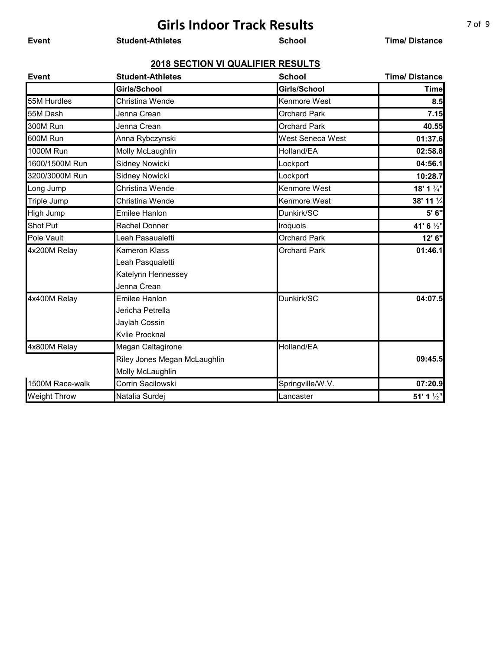**Event Student-Athletes School Time/ Distance**

| <b>Event</b>        | <b>Student-Athletes</b>      | <b>School</b>       | <b>Time/Distance</b>  |
|---------------------|------------------------------|---------------------|-----------------------|
|                     | Girls/School                 | Girls/School        | <b>Time</b>           |
| 55M Hurdles         | Christina Wende              | Kenmore West        | 8.5                   |
| 55M Dash            | Jenna Crean                  | <b>Orchard Park</b> | 7.15                  |
| 300M Run            | Jenna Crean                  | <b>Orchard Park</b> | 40.55                 |
| 600M Run            | Anna Rybczynski              | West Seneca West    | 01:37.6               |
| <b>1000M Run</b>    | Molly McLaughlin             | Holland/EA          | 02:58.8               |
| 1600/1500M Run      | Sidney Nowicki               | Lockport            | 04:56.1               |
| 3200/3000M Run      | <b>Sidney Nowicki</b>        | Lockport            | 10:28.7               |
| Long Jump           | Christina Wende              | Kenmore West        | 18' 1 3/4"            |
| <b>Triple Jump</b>  | Christina Wende              | Kenmore West        | 38' 11 1/4            |
| High Jump           | <b>Emilee Hanlon</b>         | Dunkirk/SC          | 5' 6"                 |
| <b>Shot Put</b>     | Rachel Donner                | Iroquois            | 41' 6 1/2"            |
| Pole Vault          | Leah Pasaualetti             | <b>Orchard Park</b> | 12' 6"                |
| 4x200M Relay        | Kameron Klass                | <b>Orchard Park</b> | 01:46.1               |
|                     | Leah Pasqualetti             |                     |                       |
|                     | Katelynn Hennessey           |                     |                       |
|                     | Jenna Crean                  |                     |                       |
| 4x400M Relay        | <b>Emilee Hanlon</b>         | Dunkirk/SC          | 04:07.5               |
|                     | Jericha Petrella             |                     |                       |
|                     | Jaylah Cossin                |                     |                       |
|                     | Kvlie Procknal               |                     |                       |
| 4x800M Relay        | Megan Caltagirone            | Holland/EA          |                       |
|                     | Riley Jones Megan McLaughlin |                     | 09:45.5               |
|                     | Molly McLaughlin             |                     |                       |
| 1500M Race-walk     | Corrin Sacilowski            | Springville/W.V.    | 07:20.9               |
| <b>Weight Throw</b> | Natalia Surdej               | Lancaster           | 51' 1 $\frac{1}{2}$ " |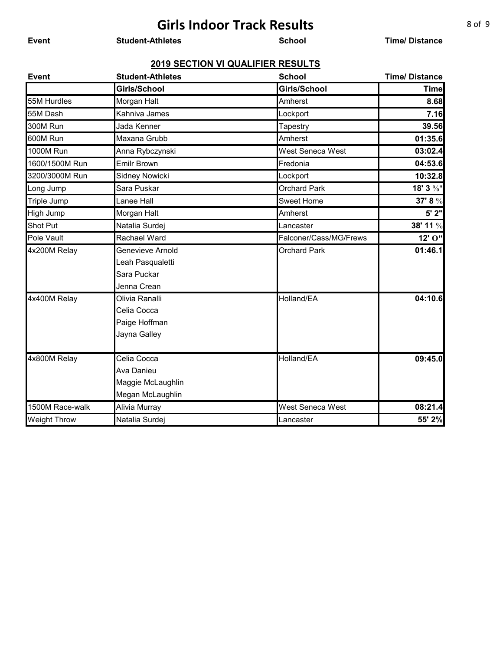**Event Student-Athletes School Time/ Distance**

| <b>Event</b>        | <b>Student-Athletes</b> | <b>School</b>          | <b>Time/Distance</b> |
|---------------------|-------------------------|------------------------|----------------------|
|                     | Girls/School            | Girls/School           | <b>Time</b>          |
| 55M Hurdles         | Morgan Halt             | Amherst                | 8.68                 |
| 55M Dash            | Kahniva James           | Lockport               | 7.16                 |
| 300M Run            | Jada Kenner             | Tapestry               | 39.56                |
| 600M Run            | Maxana Grubb            | Amherst                | 01:35.6              |
| 1000M Run           | Anna Rybczynski         | West Seneca West       | 03:02.4              |
| 1600/1500M Run      | <b>Emilr Brown</b>      | Fredonia               | 04:53.6              |
| 3200/3000M Run      | Sidney Nowicki          | Lockport               | 10:32.8              |
| Long Jump           | Sara Puskar             | <b>Orchard Park</b>    | 18' 3 %"             |
| <b>Triple Jump</b>  | Lanee Hall              | <b>Sweet Home</b>      | 37' 8 %              |
| High Jump           | Morgan Halt             | Amherst                | 5' 2"                |
| <b>Shot Put</b>     | Natalia Surdej          | Lancaster              | 38' 11 %             |
| Pole Vault          | Rachael Ward            | Falconer/Cass/MG/Frews | 12' O"               |
| 4x200M Relay        | Genevieve Arnold        | <b>Orchard Park</b>    | 01:46.1              |
|                     | Leah Pasqualetti        |                        |                      |
|                     | Sara Puckar             |                        |                      |
|                     | Jenna Crean             |                        |                      |
| 4x400M Relay        | Olivia Ranalli          | Holland/EA             | 04:10.6              |
|                     | Celia Cocca             |                        |                      |
|                     | Paige Hoffman           |                        |                      |
|                     | Jayna Galley            |                        |                      |
|                     |                         |                        |                      |
| 4x800M Relay        | Celia Cocca             | Holland/EA             | 09:45.0              |
|                     | Ava Danieu              |                        |                      |
|                     | Maggie McLaughlin       |                        |                      |
|                     | Megan McLaughlin        |                        |                      |
| 1500M Race-walk     | Alivia Murray           | West Seneca West       | 08:21.4              |
| <b>Weight Throw</b> | Natalia Surdej          | Lancaster              | 55' 2%               |